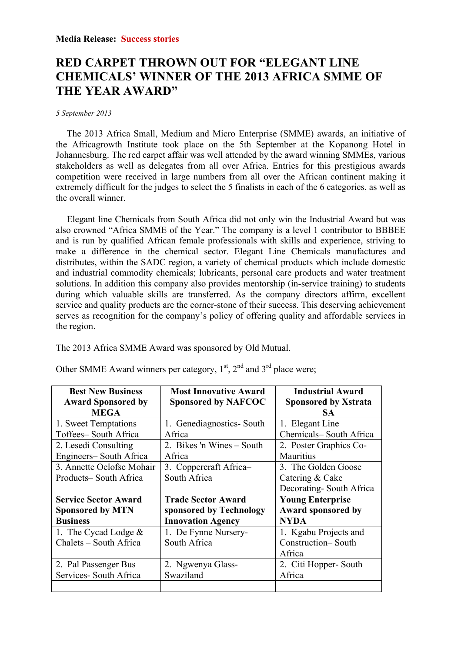## **RED CARPET THROWN OUT FOR "ELEGANT LINE CHEMICALS' WINNER OF THE 2013 AFRICA SMME OF THE YEAR AWARD"**

## *5 September 2013*

The 2013 Africa Small, Medium and Micro Enterprise (SMME) awards, an initiative of the Africagrowth Institute took place on the 5th September at the Kopanong Hotel in Johannesburg. The red carpet affair was well attended by the award winning SMMEs, various stakeholders as well as delegates from all over Africa. Entries for this prestigious awards competition were received in large numbers from all over the African continent making it extremely difficult for the judges to select the 5 finalists in each of the 6 categories, as well as the overall winner.

Elegant line Chemicals from South Africa did not only win the Industrial Award but was also crowned "Africa SMME of the Year." The company is a level 1 contributor to BBBEE and is run by qualified African female professionals with skills and experience, striving to make a difference in the chemical sector. Elegant Line Chemicals manufactures and distributes, within the SADC region, a variety of chemical products which include domestic and industrial commodity chemicals; lubricants, personal care products and water treatment solutions. In addition this company also provides mentorship (in-service training) to students during which valuable skills are transferred. As the company directors affirm, excellent service and quality products are the corner-stone of their success. This deserving achievement serves as recognition for the company's policy of offering quality and affordable services in the region.

The 2013 Africa SMME Award was sponsored by Old Mutual.

| <b>Best New Business</b>    | <b>Most Innovative Award</b> | <b>Industrial Award</b>     |
|-----------------------------|------------------------------|-----------------------------|
| <b>Award Sponsored by</b>   | <b>Sponsored by NAFCOC</b>   | <b>Sponsored by Xstrata</b> |
| <b>MEGA</b>                 |                              | SA.                         |
| 1. Sweet Temptations        | 1. Genediagnostics-South     | 1. Elegant Line             |
| Toffees-South Africa        | Africa                       | Chemicals-South Africa      |
| 2. Lesedi Consulting        | 2. Bikes 'n Wines – South    | 2. Poster Graphics Co-      |
| Engineers-South Africa      | Africa                       | Mauritius                   |
| 3. Annette Oelofse Mohair   | 3. Coppercraft Africa-       | 3. The Golden Goose         |
| Products-South Africa       | South Africa                 | Catering & Cake             |
|                             |                              | Decorating-South Africa     |
| <b>Service Sector Award</b> | <b>Trade Sector Award</b>    | <b>Young Enterprise</b>     |
| <b>Sponsored by MTN</b>     | sponsored by Technology      | Award sponsored by          |
| <b>Business</b>             | <b>Innovation Agency</b>     | <b>NYDA</b>                 |
| 1. The Cycad Lodge $&$      | 1. De Fynne Nursery-         | 1. Kgabu Projects and       |
| Chalets - South Africa      | South Africa                 | Construction-South          |
|                             |                              | Africa                      |
| 2. Pal Passenger Bus        | 2. Ngwenya Glass-            | 2. Citi Hopper-South        |
| Services- South Africa      | Swaziland                    | Africa                      |
|                             |                              |                             |

Other SMME Award winners per category,  $1<sup>st</sup>$ ,  $2<sup>nd</sup>$  and  $3<sup>rd</sup>$  place were;